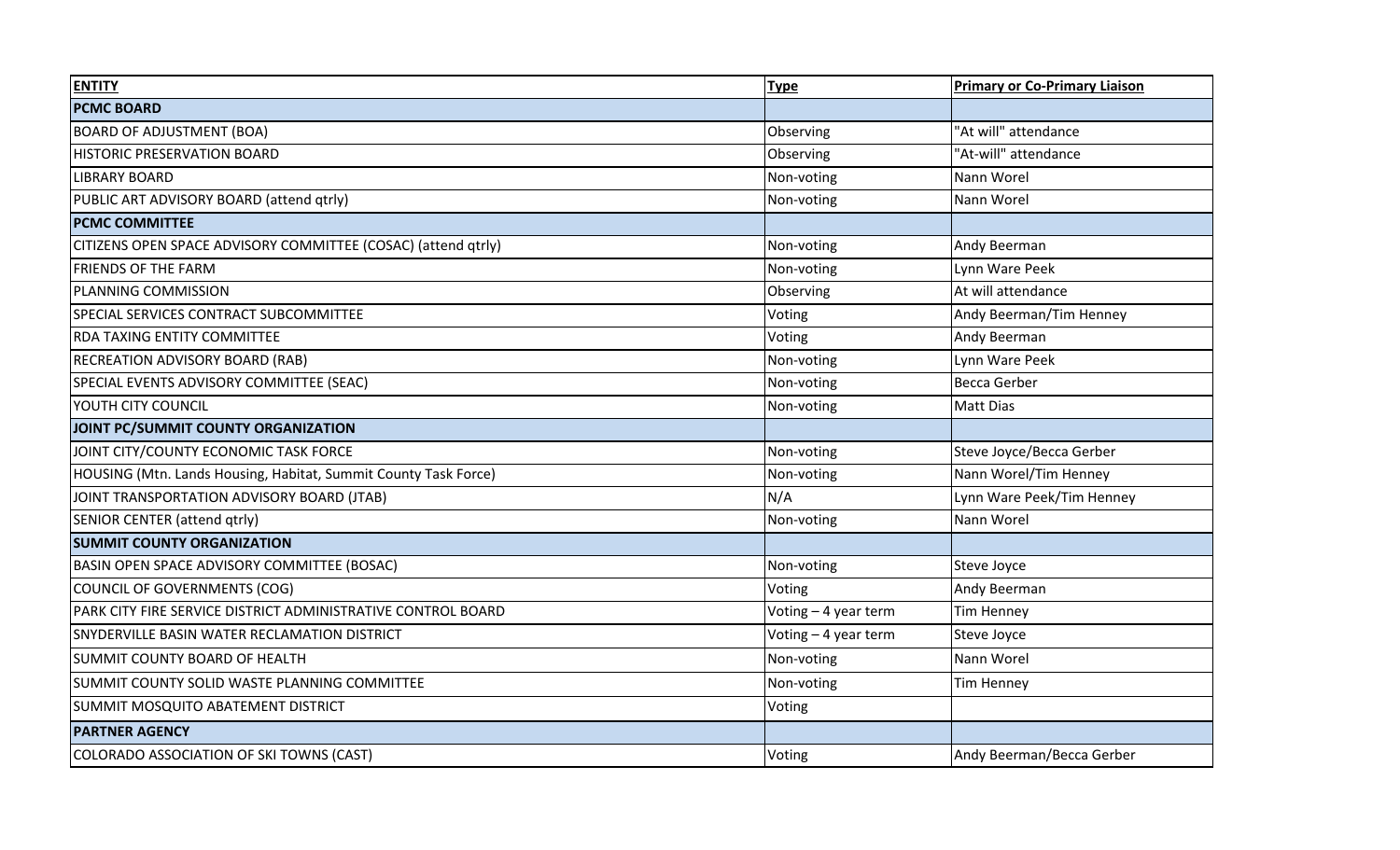| <b>ENTITY</b>                                                   | <b>Type</b>          | <b>Primary or Co-Primary Liaison</b> |
|-----------------------------------------------------------------|----------------------|--------------------------------------|
| <b>PCMC BOARD</b>                                               |                      |                                      |
| <b>BOARD OF ADJUSTMENT (BOA)</b>                                | Observing            | "At will" attendance                 |
| <b>HISTORIC PRESERVATION BOARD</b>                              | Observing            | "At-will" attendance                 |
| <b>LIBRARY BOARD</b>                                            | Non-voting           | Nann Worel                           |
| PUBLIC ART ADVISORY BOARD (attend gtrly)                        | Non-voting           | Nann Worel                           |
| <b>PCMC COMMITTEE</b>                                           |                      |                                      |
| CITIZENS OPEN SPACE ADVISORY COMMITTEE (COSAC) (attend gtrly)   | Non-voting           | Andy Beerman                         |
| <b>FRIENDS OF THE FARM</b>                                      | Non-voting           | Lynn Ware Peek                       |
| PLANNING COMMISSION                                             | Observing            | At will attendance                   |
| SPECIAL SERVICES CONTRACT SUBCOMMITTEE                          | Voting               | Andy Beerman/Tim Henney              |
| <b>RDA TAXING ENTITY COMMITTEE</b>                              | Voting               | Andy Beerman                         |
| RECREATION ADVISORY BOARD (RAB)                                 | Non-voting           | Lynn Ware Peek                       |
| SPECIAL EVENTS ADVISORY COMMITTEE (SEAC)                        | Non-voting           | <b>Becca Gerber</b>                  |
| YOUTH CITY COUNCIL                                              | Non-voting           | <b>Matt Dias</b>                     |
| JOINT PC/SUMMIT COUNTY ORGANIZATION                             |                      |                                      |
| JOINT CITY/COUNTY ECONOMIC TASK FORCE                           | Non-voting           | Steve Joyce/Becca Gerber             |
| HOUSING (Mtn. Lands Housing, Habitat, Summit County Task Force) | Non-voting           | Nann Worel/Tim Henney                |
| JOINT TRANSPORTATION ADVISORY BOARD (JTAB)                      | N/A                  | Lynn Ware Peek/Tim Henney            |
| SENIOR CENTER (attend qtrly)                                    | Non-voting           | Nann Worel                           |
| <b>SUMMIT COUNTY ORGANIZATION</b>                               |                      |                                      |
| BASIN OPEN SPACE ADVISORY COMMITTEE (BOSAC)                     | Non-voting           | Steve Joyce                          |
| COUNCIL OF GOVERNMENTS (COG)                                    | Voting               | Andy Beerman                         |
| PARK CITY FIRE SERVICE DISTRICT ADMINISTRATIVE CONTROL BOARD    | Voting - 4 year term | <b>Tim Henney</b>                    |
| SNYDERVILLE BASIN WATER RECLAMATION DISTRICT                    | Voting - 4 year term | Steve Joyce                          |
| SUMMIT COUNTY BOARD OF HEALTH                                   | Non-voting           | Nann Worel                           |
| SUMMIT COUNTY SOLID WASTE PLANNING COMMITTEE                    | Non-voting           | Tim Henney                           |
| SUMMIT MOSQUITO ABATEMENT DISTRICT                              | Voting               |                                      |
| <b>PARTNER AGENCY</b>                                           |                      |                                      |
| COLORADO ASSOCIATION OF SKI TOWNS (CAST)                        | Voting               | Andy Beerman/Becca Gerber            |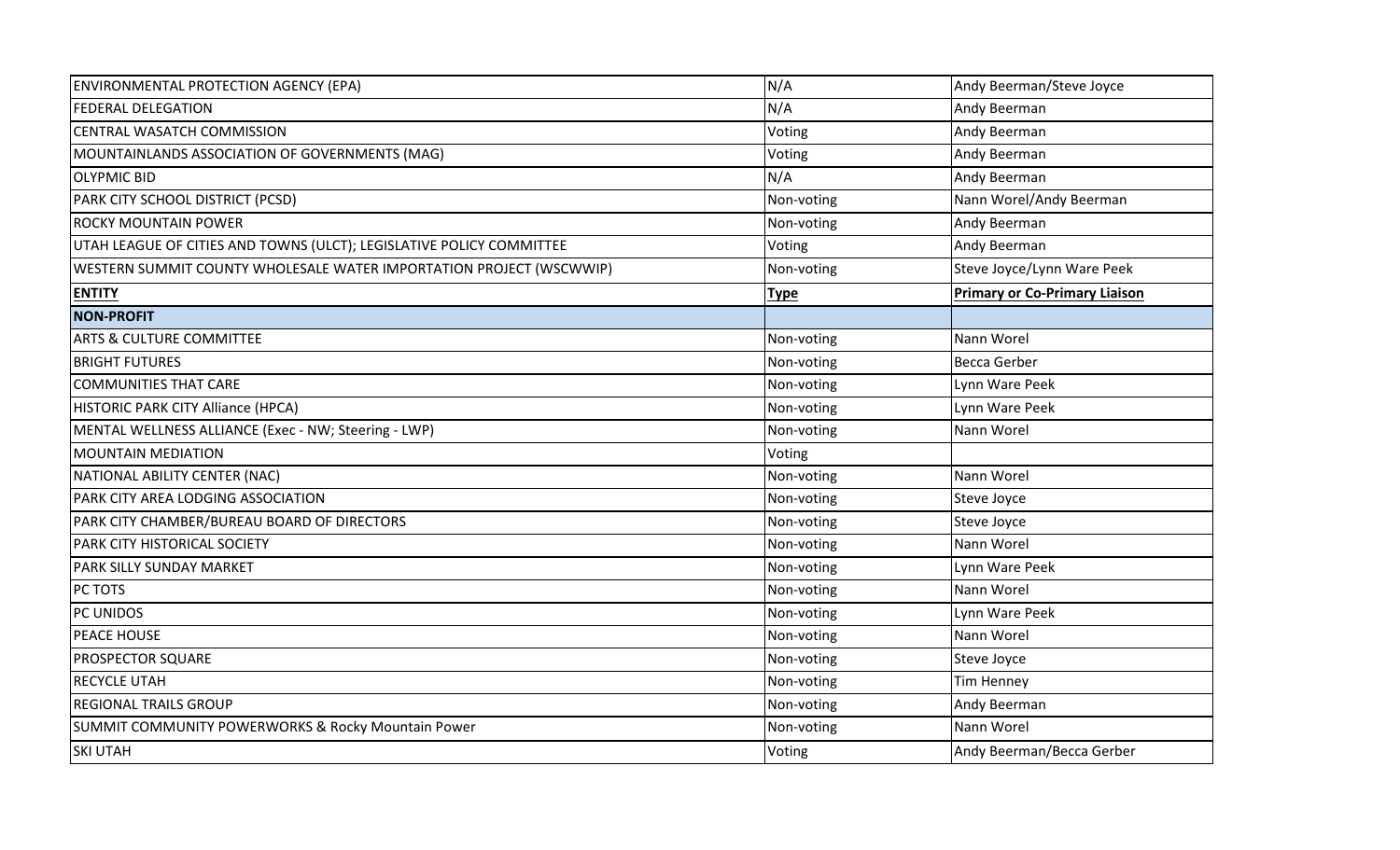| <b>ENVIRONMENTAL PROTECTION AGENCY (EPA)</b>                         | N/A         | Andy Beerman/Steve Joyce             |
|----------------------------------------------------------------------|-------------|--------------------------------------|
| <b>FEDERAL DELEGATION</b>                                            | N/A         | Andy Beerman                         |
| <b>CENTRAL WASATCH COMMISSION</b>                                    | Voting      | Andy Beerman                         |
| MOUNTAINLANDS ASSOCIATION OF GOVERNMENTS (MAG)                       | Voting      | Andy Beerman                         |
| <b>OLYPMIC BID</b>                                                   | N/A         | Andy Beerman                         |
| PARK CITY SCHOOL DISTRICT (PCSD)                                     | Non-voting  | Nann Worel/Andy Beerman              |
| <b>ROCKY MOUNTAIN POWER</b>                                          | Non-voting  | Andy Beerman                         |
| UTAH LEAGUE OF CITIES AND TOWNS (ULCT); LEGISLATIVE POLICY COMMITTEE | Voting      | Andy Beerman                         |
| WESTERN SUMMIT COUNTY WHOLESALE WATER IMPORTATION PROJECT (WSCWWIP)  | Non-voting  | Steve Joyce/Lynn Ware Peek           |
| <b>ENTITY</b>                                                        | <b>Type</b> | <b>Primary or Co-Primary Liaison</b> |
| <b>NON-PROFIT</b>                                                    |             |                                      |
| <b>ARTS &amp; CULTURE COMMITTEE</b>                                  | Non-voting  | Nann Worel                           |
| <b>BRIGHT FUTURES</b>                                                | Non-voting  | <b>Becca Gerber</b>                  |
| COMMUNITIES THAT CARE                                                | Non-voting  | Lynn Ware Peek                       |
| HISTORIC PARK CITY Alliance (HPCA)                                   | Non-voting  | Lynn Ware Peek                       |
| MENTAL WELLNESS ALLIANCE (Exec - NW; Steering - LWP)                 | Non-voting  | Nann Worel                           |
| <b>MOUNTAIN MEDIATION</b>                                            | Voting      |                                      |
| NATIONAL ABILITY CENTER (NAC)                                        | Non-voting  | Nann Worel                           |
| PARK CITY AREA LODGING ASSOCIATION                                   | Non-voting  | Steve Joyce                          |
| PARK CITY CHAMBER/BUREAU BOARD OF DIRECTORS                          | Non-voting  | Steve Joyce                          |
| <b>PARK CITY HISTORICAL SOCIETY</b>                                  | Non-voting  | Nann Worel                           |
| <b>PARK SILLY SUNDAY MARKET</b>                                      | Non-voting  | Lynn Ware Peek                       |
| PC TOTS                                                              | Non-voting  | Nann Worel                           |
| PC UNIDOS                                                            | Non-voting  | Lynn Ware Peek                       |
| <b>PEACE HOUSE</b>                                                   | Non-voting  | Nann Worel                           |
| <b>PROSPECTOR SQUARE</b>                                             | Non-voting  | Steve Joyce                          |
| <b>RECYCLE UTAH</b>                                                  | Non-voting  | <b>Tim Henney</b>                    |
| <b>REGIONAL TRAILS GROUP</b>                                         | Non-voting  | Andy Beerman                         |
| SUMMIT COMMUNITY POWERWORKS & Rocky Mountain Power                   | Non-voting  | Nann Worel                           |
| <b>SKI UTAH</b>                                                      | Voting      | Andy Beerman/Becca Gerber            |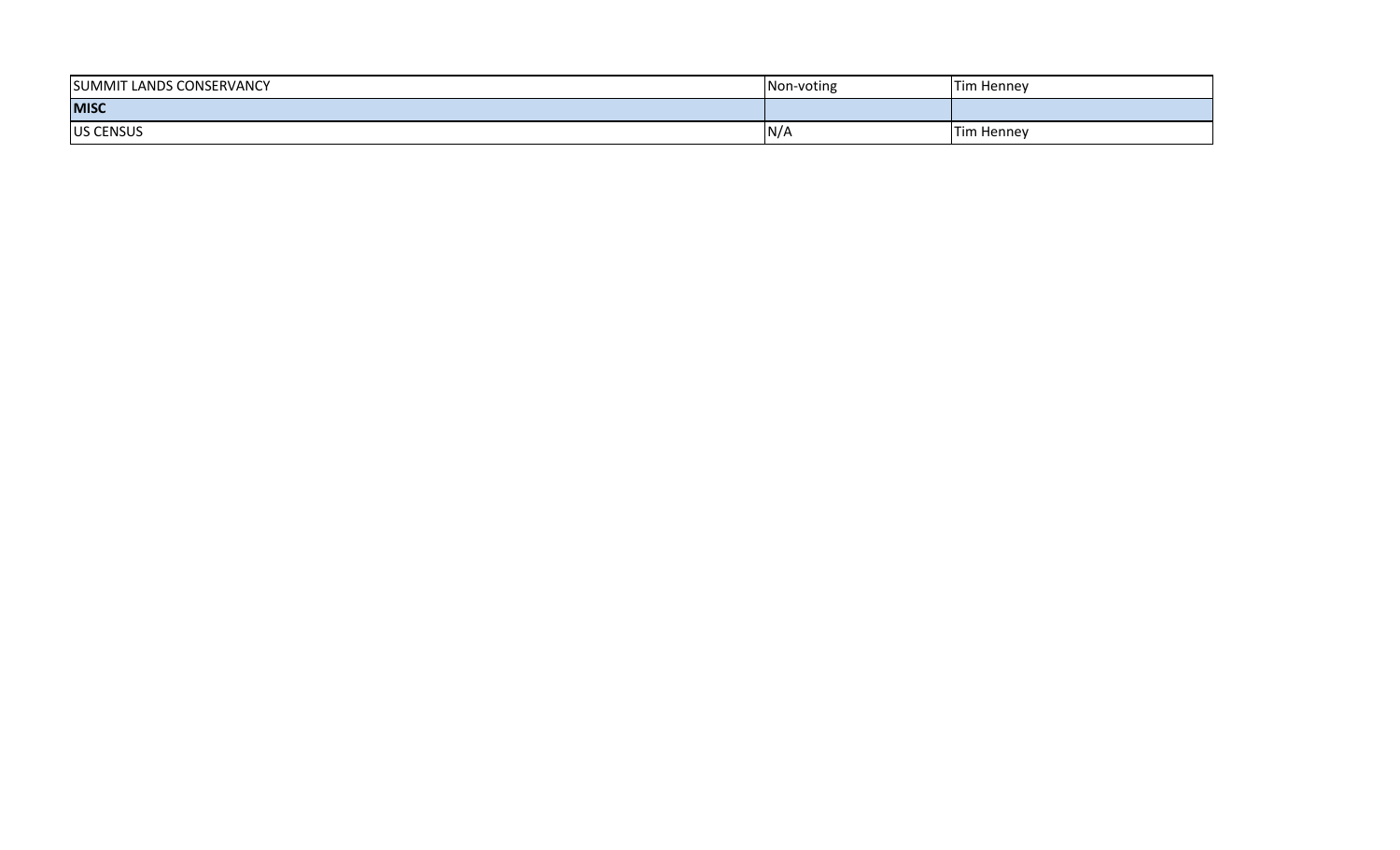| <b>CONSERVANCY</b><br>LANDS <sup>1</sup><br><b>SUMMIT</b> | Non-voting | ⊦Hennev<br>1 im      |
|-----------------------------------------------------------|------------|----------------------|
| <b>MISC</b>                                               |            |                      |
| <b>US CENSUS</b>                                          | N/A        | <b>Hennev</b><br>Tim |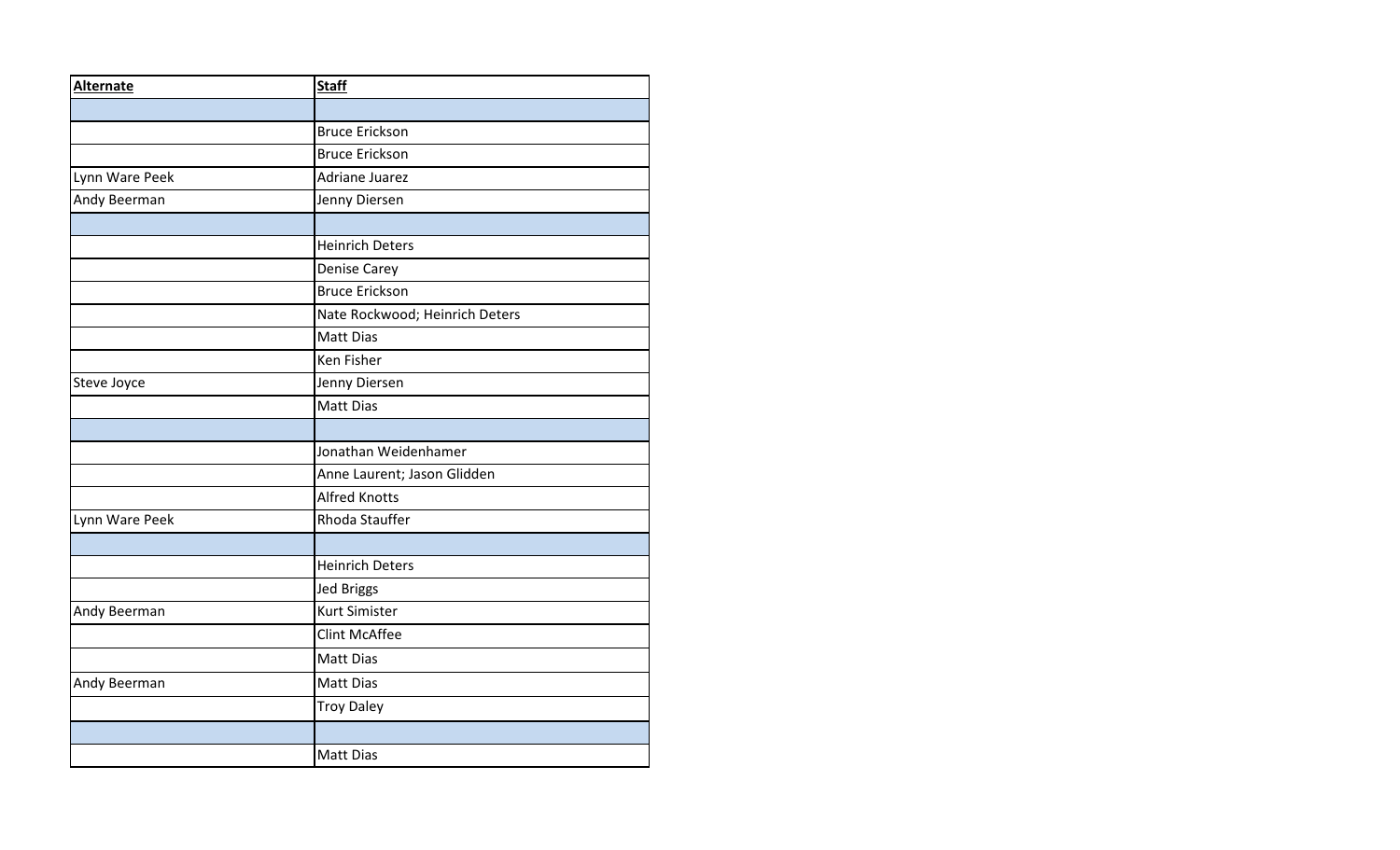| <b>Alternate</b> | <b>Staff</b>                   |
|------------------|--------------------------------|
|                  |                                |
|                  | <b>Bruce Erickson</b>          |
|                  | <b>Bruce Erickson</b>          |
| Lynn Ware Peek   | Adriane Juarez                 |
| Andy Beerman     | Jenny Diersen                  |
|                  |                                |
|                  | <b>Heinrich Deters</b>         |
|                  | Denise Carey                   |
|                  | <b>Bruce Erickson</b>          |
|                  | Nate Rockwood; Heinrich Deters |
|                  | <b>Matt Dias</b>               |
|                  | Ken Fisher                     |
| Steve Joyce      | Jenny Diersen                  |
|                  | <b>Matt Dias</b>               |
|                  |                                |
|                  | Jonathan Weidenhamer           |
|                  | Anne Laurent; Jason Glidden    |
|                  | <b>Alfred Knotts</b>           |
| Lynn Ware Peek   | Rhoda Stauffer                 |
|                  |                                |
|                  | <b>Heinrich Deters</b>         |
|                  | <b>Jed Briggs</b>              |
| Andy Beerman     | <b>Kurt Simister</b>           |
|                  | <b>Clint McAffee</b>           |
|                  | <b>Matt Dias</b>               |
| Andy Beerman     | <b>Matt Dias</b>               |
|                  | <b>Troy Daley</b>              |
|                  |                                |
|                  | <b>Matt Dias</b>               |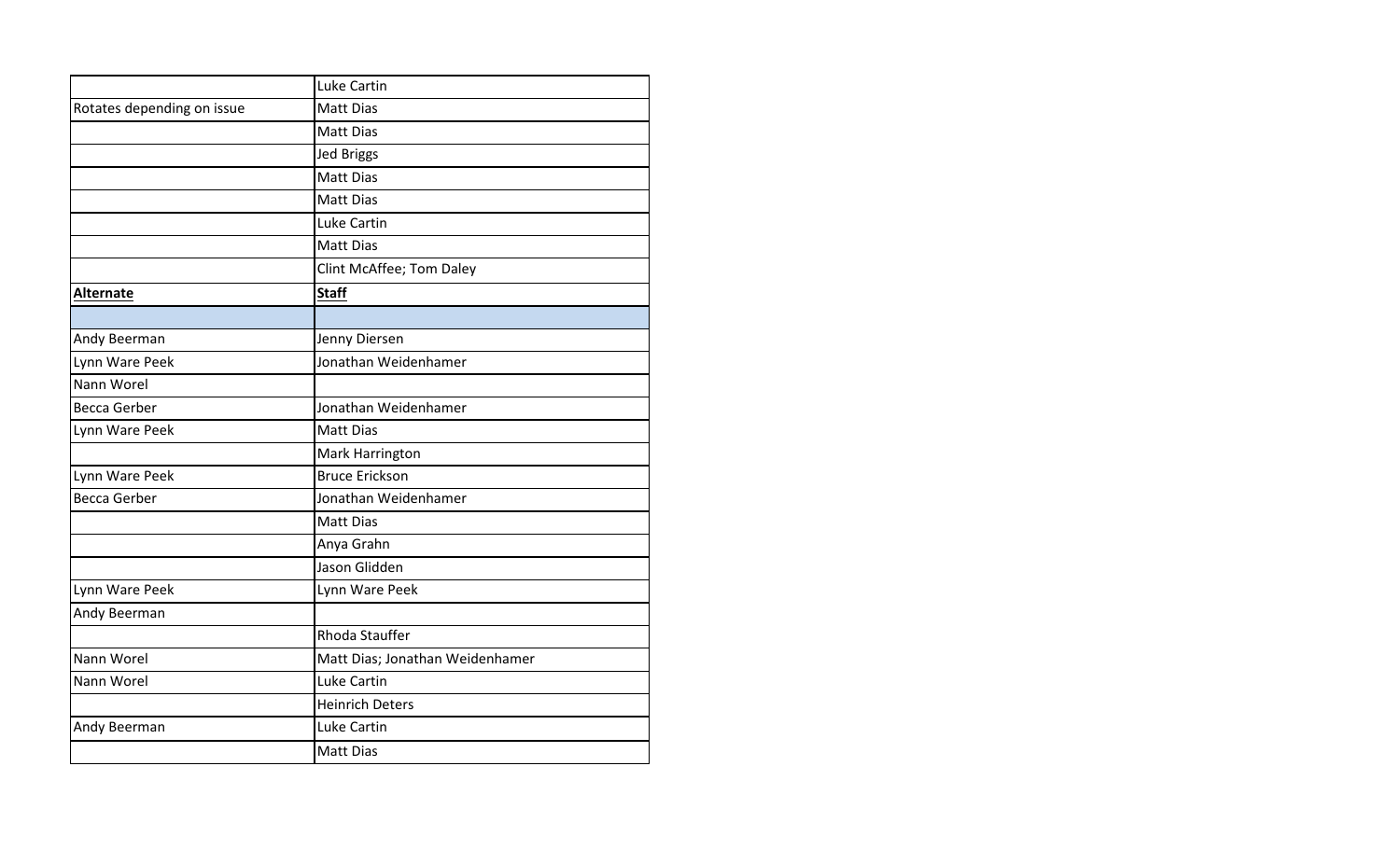|                            | <b>Luke Cartin</b>              |
|----------------------------|---------------------------------|
| Rotates depending on issue | <b>Matt Dias</b>                |
|                            | <b>Matt Dias</b>                |
|                            | <b>Jed Briggs</b>               |
|                            | <b>Matt Dias</b>                |
|                            | <b>Matt Dias</b>                |
|                            | Luke Cartin                     |
|                            | <b>Matt Dias</b>                |
|                            | Clint McAffee; Tom Daley        |
| <b>Alternate</b>           | <b>Staff</b>                    |
|                            |                                 |
| Andy Beerman               | Jenny Diersen                   |
| Lynn Ware Peek             | Jonathan Weidenhamer            |
| Nann Worel                 |                                 |
| <b>Becca Gerber</b>        | Jonathan Weidenhamer            |
| Lynn Ware Peek             | <b>Matt Dias</b>                |
|                            | Mark Harrington                 |
| Lynn Ware Peek             | <b>Bruce Erickson</b>           |
| <b>Becca Gerber</b>        | Jonathan Weidenhamer            |
|                            | <b>Matt Dias</b>                |
|                            | Anya Grahn                      |
|                            | Jason Glidden                   |
| Lynn Ware Peek             | Lynn Ware Peek                  |
| Andy Beerman               |                                 |
|                            | Rhoda Stauffer                  |
| Nann Worel                 | Matt Dias; Jonathan Weidenhamer |
| Nann Worel                 | Luke Cartin                     |
|                            | <b>Heinrich Deters</b>          |
| Andy Beerman               | Luke Cartin                     |
|                            | <b>Matt Dias</b>                |